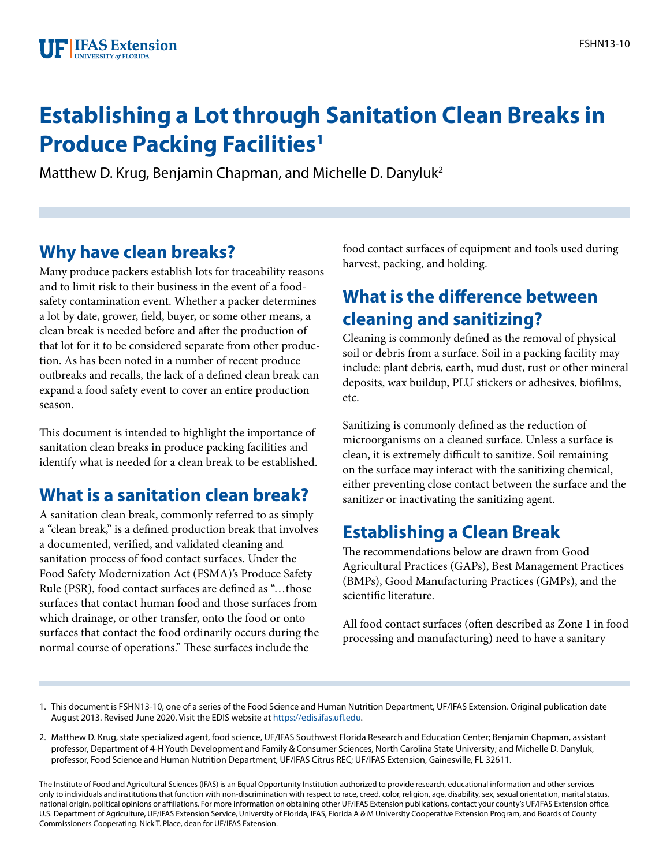# **Establishing a Lot through Sanitation Clean Breaks in Produce Packing Facilities<sup>1</sup>**

Matthew D. Krug, Benjamin Chapman, and Michelle D. Danyluk2

## **Why have clean breaks?**

Many produce packers establish lots for traceability reasons and to limit risk to their business in the event of a foodsafety contamination event. Whether a packer determines a lot by date, grower, field, buyer, or some other means, a clean break is needed before and after the production of that lot for it to be considered separate from other production. As has been noted in a number of recent produce outbreaks and recalls, the lack of a defined clean break can expand a food safety event to cover an entire production season.

This document is intended to highlight the importance of sanitation clean breaks in produce packing facilities and identify what is needed for a clean break to be established.

### **What is a sanitation clean break?**

A sanitation clean break, commonly referred to as simply a "clean break," is a defined production break that involves a documented, verified, and validated cleaning and sanitation process of food contact surfaces. Under the Food Safety Modernization Act (FSMA)'s Produce Safety Rule (PSR), food contact surfaces are defined as "…those surfaces that contact human food and those surfaces from which drainage, or other transfer, onto the food or onto surfaces that contact the food ordinarily occurs during the normal course of operations." These surfaces include the

food contact surfaces of equipment and tools used during harvest, packing, and holding.

### **What is the difference between cleaning and sanitizing?**

Cleaning is commonly defined as the removal of physical soil or debris from a surface. Soil in a packing facility may include: plant debris, earth, mud dust, rust or other mineral deposits, wax buildup, PLU stickers or adhesives, biofilms, etc.

Sanitizing is commonly defined as the reduction of microorganisms on a cleaned surface. Unless a surface is clean, it is extremely difficult to sanitize. Soil remaining on the surface may interact with the sanitizing chemical, either preventing close contact between the surface and the sanitizer or inactivating the sanitizing agent.

## **Establishing a Clean Break**

The recommendations below are drawn from Good Agricultural Practices (GAPs), Best Management Practices (BMPs), Good Manufacturing Practices (GMPs), and the scientific literature.

All food contact surfaces (often described as Zone 1 in food processing and manufacturing) need to have a sanitary

- 1. This document is FSHN13-10, one of a series of the Food Science and Human Nutrition Department, UF/IFAS Extension. Original publication date August 2013. Revised June 2020. Visit the EDIS website at [https://edis.ifas.ufl.edu.](https://edis.ifas.ufl.edu)
- 2. Matthew D. Krug, state specialized agent, food science, UF/IFAS Southwest Florida Research and Education Center; Benjamin Chapman, assistant professor, Department of 4-H Youth Development and Family & Consumer Sciences, North Carolina State University; and Michelle D. Danyluk, professor, Food Science and Human Nutrition Department, UF/IFAS Citrus REC; UF/IFAS Extension, Gainesville, FL 32611.

The Institute of Food and Agricultural Sciences (IFAS) is an Equal Opportunity Institution authorized to provide research, educational information and other services only to individuals and institutions that function with non-discrimination with respect to race, creed, color, religion, age, disability, sex, sexual orientation, marital status, national origin, political opinions or affiliations. For more information on obtaining other UF/IFAS Extension publications, contact your county's UF/IFAS Extension office. U.S. Department of Agriculture, UF/IFAS Extension Service, University of Florida, IFAS, Florida A & M University Cooperative Extension Program, and Boards of County Commissioners Cooperating. Nick T. Place, dean for UF/IFAS Extension.